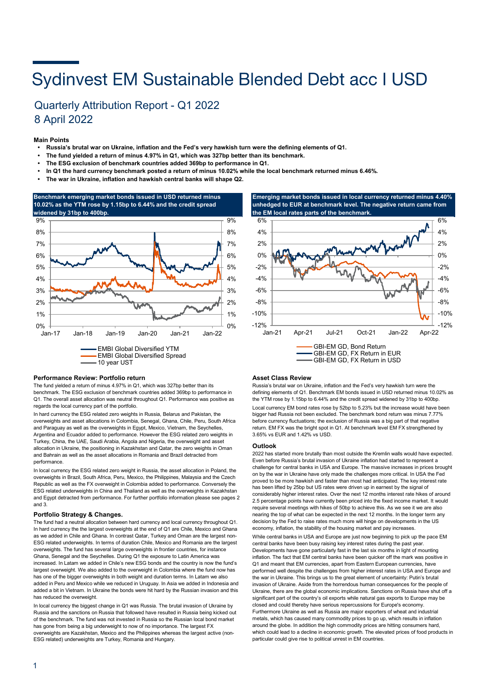# Sydinvest EM Sustainable Blended Debt acc I USD

## Quarterly Attribution Report - Q1 2022 8 April 2022

#### **Main Points**

- **Russia's brutal war on Ukraine, inflation and the Fed's very hawkish turn were the defining elements of Q1.**
- **The fund yielded a return of minus 4.97% in Q1, which was 327bp better than its benchmark.**
- **• The ESG exclusion of benchmark countries added 369bp to performance in Q1.**
- **In Q1 the hard currency benchmark posted a return of minus 10.02% while the local benchmark returned minus 6.46%.**
- **• The war in Ukraine, inflation and hawkish central banks will shape Q2.**



#### **Performance Review: Portfolio return**

The fund yielded a return of minus 4.97% in Q1, which was 327bp better than its benchmark. The ESG exclusion of benchmark countries added 369bp to performance in Q1. The overall asset allocation was neutral throughout Q1. Performance was positive as regards the local currency part of the portfolio.

In hard currency the ESG related zero weights in Russia, Belarus and Pakistan, the overweights and asset allocations in Colombia, Senegal, Ghana, Chile, Peru, South Africa and Paraguay as well as the overweights in Egypt, Mexico, Vietnam, the Seychelles, Argentina and Ecuador added to performance. However the ESG related zero weights in Turkey, China, the UAE, Saudi Arabia, Angola and Nigeria, the overweight and asset allocation in Ukraine, the positioning in Kazakhstan and Qatar, the zero weights in Oman and Bahrain as well as the asset allocations in Romania and Brazil detracted from performance.

In local currency the ESG related zero weight in Russia, the asset allocation in Poland, the overweights in Brazil, South Africa, Peru, Mexico, the Philippines, Malaysia and the Czech Republic as well as the FX overweight in Colombia added to performance. Conversely the ESG related underweights in China and Thailand as well as the overweights in Kazakhstan and Egypt detracted from performance. For further portfolio information please see pages 2 and 3.

#### **Portfolio Strategy & Changes.**

The fund had a neutral allocation between hard currency and local currency throughout Q1. In hard currency the the largest overweights at the end of Q1 are Chile, Mexico and Ghana as we added in Chile and Ghana. In contrast Qatar, Turkey and Oman are the largest non-ESG related underweights. In terms of duration Chile, Mexico and Romania are the largest overweights. The fund has several large overweights in frontier countries, for instance Ghana, Senegal and the Seychelles. During Q1 the exposure to Latin America was increased. In Latam we added in Chile's new ESG bonds and the country is now the fund's largest overweight. We also added to the overweight in Colombia where the fund now has has one of the bigger overweights in both weight and duration terms. In Latam we also added in Peru and Mexico while we reduced in Uruguay. In Asia we added in Indonesia and added a bit in Vietnam. In Ukraine the bonds were hit hard by the Russian invasion and this has reduced the overweight.

In local currency the biggest change in Q1 was Russia. The brutal invasion of Ukraine by Russia and the sanctions on Russia that followed have resulted in Russia being kicked out of the benchmark. The fund was not invested in Russia so the Russian local bond market has gone from being a big underweight to now of no importance. The largest FX overweights are Kazakhstan, Mexico and the Philippines whereas the largest active (non-ESG related) underweights are Turkey, Romania and Hungary.





#### **Asset Class Review**

Russia's brutal war on Ukraine, inflation and the Fed's very hawkish turn were the defining elements of Q1. Benchmark EM bonds issued in USD returned minus 10.02% as the YTM rose by 1.15bp to 6.44% and the credit spread widened by 31bp to 400bp. Local currency EM bond rates rose by 52bp to 5.23% but the increase would have been bigger had Russia not been excluded. The benchmark bond return was minus 7.77% before currency fluctuations; the exclusion of Russia was a big part of that negative return. EM FX was the bright spot in Q1. At benchmark level EM FX strengthened by 3.65% vs EUR and 1.42% vs USD.

#### **Outlook**

2022 has started more brutally than most outside the Kremlin walls would have expected. Even before Russia's brutal invasion of Ukraine inflation had started to represent a challenge for central banks in USA and Europe. The massive increases in prices brought on by the war in Ukraine have only made the challenges more critical. In USA the Fed proved to be more hawkish and faster than most had anticipated. The key interest rate has been lifted by 25bp but US rates were driven up in earnest by the signal of considerably higher interest rates. Over the next 12 months interest rate hikes of around 2.5 percentage points have currently been priced into the fixed income market. It would require several meetings with hikes of 50bp to achieve this. As we see it we are also nearing the top of what can be expected in the next 12 months. In the longer term any decision by the Fed to raise rates much more will hinge on developments in the US economy, inflation, the stability of the housing market and pay increases. While central banks in USA and Europe are just now beginning to pick up the pace EM central banks have been busy raising key interest rates during the past year. Developments have gone particularly fast in the last six months in light of mounting inflation. The fact that EM central banks have been quicker off the mark was positive in Q1 and meant that EM currencies, apart from Eastern European currencies, have performed well despite the challenges from higher interest rates in USA and Europe and the war in Ukraine. This brings us to the great element of uncertainty: Putin's brutal invasion of Ukraine. Aside from the horrendous human consequences for the people of Ukraine, there are the global economic implications. Sanctions on Russia have shut off a significant part of the country's oil exports while natural gas exports to Europe may be closed and could thereby have serious repercussions for Europe's economy. Furthermore Ukraine as well as Russia are major exporters of wheat and industrial metals, which has caused many commodity prices to go up, which results in inflation around the globe. In addition the high commodity prices are hitting consumers hard, which could lead to a decline in economic growth. The elevated prices of food products in particular could give rise to political unrest in EM countries.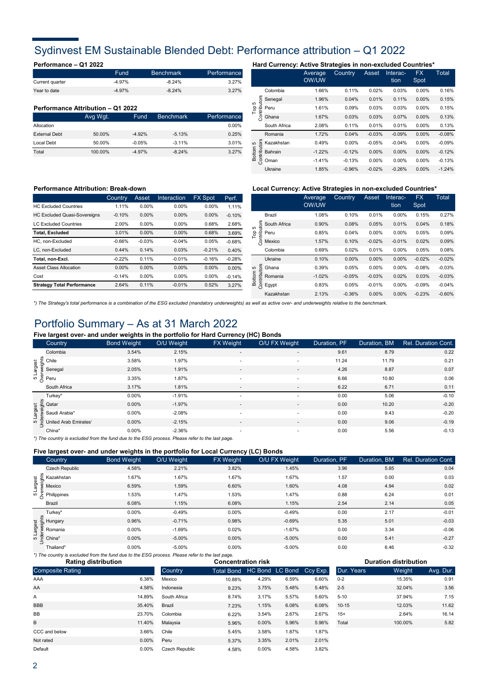## Sydinvest EM Sustainable Blended Debt: Performance attribution – Q1 2022

|                 | Fund     | <b>Benchmark</b> | Performance |
|-----------------|----------|------------------|-------------|
| Current quarter | $-4.97%$ | $-8.24%$         | 3.27%       |
| Year to date    | $-4.97%$ | $-8.24%$         | 3.27%       |

#### **Performance Attribution – Q1 2022**

|                      | Avg Wgt. | Fund     | <b>Benchmark</b> | Performance |
|----------------------|----------|----------|------------------|-------------|
| Allocation           |          |          |                  | $0.00\%$    |
| <b>External Debt</b> | 50.00%   | $-4.92%$ | $-5.13%$         | 0.25%       |
| Local Debt           | 50.00%   | $-0.05%$ | $-3.11%$         | 3.01%       |
| Total                | 100.00%  | $-4.97%$ | $-8.24%$         | 3.27%       |

### **Performance – Q1 2022 Hard Currency: Active Strategies in non-excluded Countries\***

|               |              |                | Average<br>OW/UW | Country  | Asset    | Interac-<br>tion | <b>FX</b><br>Spot | Total    |
|---------------|--------------|----------------|------------------|----------|----------|------------------|-------------------|----------|
|               |              | Colombia       | 1.66%            | 0.11%    | 0.02%    | 0.03%            | 0.00%             | 0.16%    |
| 5             |              | Senegal        | 1.96%            | 0.04%    | 0.01%    | 0.11%            | 0.00%             | 0.15%    |
| $\frac{8}{5}$ | Contributors | Peru           | 1.61%            | 0.09%    | 0.03%    | 0.03%            | 0.00%             | 0.15%    |
|               |              | Ghana          | 1.67%            | 0.03%    | 0.03%    | 0.07%            | 0.00%             | 0.13%    |
|               |              | South Africa   | 2.08%            | 0.11%    | 0.01%    | 0.01%            | 0.00%             | 0.13%    |
|               |              | Romania        | 1.72%            | 0.04%    | $-0.03%$ | $-0.09%$         | 0.00%             | $-0.08%$ |
| Б             |              | Kazakhstan     | 0.49%            | 0.00%    | $-0.05%$ | $-0.04%$         | 0.00%             | $-0.09%$ |
| Bottom        | Contributors | <b>Bahrain</b> | $-1.22%$         | $-0.12%$ | 0.00%    | 0.00%            | 0.00%             | $-0.12%$ |
|               |              | Oman           | $-1.41%$         | $-0.13%$ | $0.00\%$ | $0.00\%$         | $0.00\%$          | $-0.13%$ |
|               |              | Ukraine        | 1.85%            | $-0.96%$ | $-0.02%$ | $-0.26%$         | 0.00%             | $-1.24%$ |

|                                     | <b>Country</b> | Asset    | <b>Interaction</b> | <b>FX Spot</b> | Perf.    |
|-------------------------------------|----------------|----------|--------------------|----------------|----------|
| <b>HC Excluded Countries</b>        | 1.11%          | $0.00\%$ | $0.00\%$           | $0.00\%$       | 1.11%    |
| <b>HC Excluded Quasi-Sovereigns</b> | $-0.10%$       | $0.00\%$ | $0.00\%$           | $0.00\%$       | $-0.10%$ |
| <b>LC Excluded Countries</b>        | 2.00%          | $0.00\%$ | $0.00\%$           | 0.68%          | 2.68%    |
| <b>Total, Excluded</b>              | 3.01%          | $0.00\%$ | $0.00\%$           | 0.68%          | 3.69%    |
| HC. non-Excluded                    | $-0.66%$       | $-0.03%$ | $-0.04%$           | 0.05%          | $-0.68%$ |
| LC. non-Excluded                    | 0.44%          | 0.14%    | 0.03%              | $-0.21%$       | 0.40%    |
| Total, non-Excl.                    | $-0.22%$       | 0.11%    | $-0.01%$           | $-0.16%$       | $-0.28%$ |
| <b>Asset Class Allocation</b>       | $0.00\%$       | $0.00\%$ | $0.00\%$           | $0.00\%$       | $0.00\%$ |
| Cost                                | $-0.14%$       | 0.00%    | $0.00\%$           | $0.00\%$       | $-0.14%$ |
| <b>Strategy Total Performance</b>   | 2.64%          | 0.11%    | $-0.01%$           | 0.52%          | 3.27%    |

#### **Performance Attribution: Break-down Local Currency: Active Strategies in non-excluded Countries\***

|                        |              | Average<br>OW/UW | Country  | Asset    | Interac-<br>tion | <b>FX</b><br>Spot | Total    |
|------------------------|--------------|------------------|----------|----------|------------------|-------------------|----------|
|                        | Brazil       | 1.08%            | 0.10%    | 0.01%    | 0.00%            | 0.15%             | 0.27%    |
| ю                      | South Africa | 0.90%            | 0.08%    | 0.05%    | 0.01%            | 0.04%             | 0.18%    |
| Contributors<br>Top    | Peru         | 0.85%            | 0.04%    | 0.00%    | 0.00%            | 0.05%             | 0.09%    |
|                        | Mexico       | 1.57%            | 0.10%    | $-0.02%$ | $-0.01%$         | 0.02%             | 0.09%    |
|                        | Colombia     | 0.69%            | 0.02%    | 0.01%    | 0.00%            | 0.05%             | 0.08%    |
|                        | Ukraine      | 0.10%            | 0.00%    | 0.00%    | 0.00%            | $-0.02%$          | $-0.02%$ |
| 5                      | Ghana        | 0.39%            | 0.05%    | 0.00%    | 0.00%            | $-0.08%$          | $-0.03%$ |
| Contributors<br>Bottom | Romania      | $-1.02%$         | $-0.05%$ | $-0.03%$ | 0.02%            | 0.03%             | $-0.03%$ |
|                        | Egypt        | 0.83%            | 0.05%    | $-0.01%$ | 0.00%            | $-0.09%$          | $-0.04%$ |
|                        | Kazakhstan   | 2.13%            | $-0.36%$ | 0.00%    | 0.00%            | $-0.23%$          | $-0.60%$ |
|                        |              |                  |          |          |                  |                   |          |

*\*) The Strategy's total performance is a combination of the ESG excluded (mandatory underweights) as well as active over- and underweights relative to the benchmark.* 

### Portfolio Summary – As at 31 March 2022

### **Five largest over- and under weights in the portfolio for Hard Currency (HC) Bonds**

| <b>Country</b>                          | <b>Bond Weight</b> | O/U Weight | <b>FX</b> Weight         | O/U FX Weight            | Duration, PF | Duration, BM | Rel. Duration Cont. |
|-----------------------------------------|--------------------|------------|--------------------------|--------------------------|--------------|--------------|---------------------|
| Colombia                                | 3.54%              | 2.15%      | $\overline{\phantom{a}}$ | $\overline{\phantom{a}}$ | 9.61         | 8.79         | 0.22                |
|                                         | 3.58%              | 1.97%      | $\overline{\phantom{a}}$ | $\overline{\phantom{a}}$ | 11.24        | 11.79        | 0.21                |
| Senegal                                 | 2.05%              | 1.91%      | $\overline{\phantom{a}}$ | $\sim$                   | 4.26         | 8.87         | 0.07                |
| 5 Largest<br>0 Sene<br>0 Peru           | 3.35%              | 1.87%      | $\overline{\phantom{a}}$ | $\overline{\phantom{a}}$ | 6.66         | 10.80        | 0.06                |
| South Africa                            | 3.17%              | 1.81%      | $\overline{a}$           | $\overline{\phantom{a}}$ | 6.22         | 6.71         | 0.11                |
| Turkey*                                 | 0.00%              | $-1.91%$   |                          |                          | 0.00         | 5.06         | $-0.10$             |
| Largest<br>Larges Qatar<br>Larges Saudi | $0.00\%$           | $-1.97%$   | $\overline{\phantom{a}}$ | $\sim$                   | 0.00         | 10.20        | $-0.20$             |
| Saudi Arabia*                           | $0.00\%$           | $-2.08%$   | $\overline{\phantom{a}}$ | $\overline{\phantom{a}}$ | 0.00         | 9.43         | $-0.20$             |
| ω E United Arab Emirates'               | $0.00\%$           | $-2.15%$   |                          | $\sim$                   | 0.00         | 9.06         | $-0.19$             |
| China*                                  | 0.00%              | $-2.36%$   | $\overline{\phantom{a}}$ | $\overline{\phantom{a}}$ | 0.00         | 5.56         | $-0.13$             |

*\*) The country is excluded from the fund due to the ESG process. Please refer to the last page.*

#### **Five largest over- and under weights in the portfolio for Local Currency (LC) Bonds**

|                                                |                                                                |                    |            |                  | . .           |              |              |                     |
|------------------------------------------------|----------------------------------------------------------------|--------------------|------------|------------------|---------------|--------------|--------------|---------------------|
|                                                | <b>Country</b>                                                 | <b>Bond Weight</b> | O/U Weight | <b>FX</b> Weight | O/U FX Weight | Duration, PF | Duration, BM | Rel. Duration Cont. |
|                                                | <b>Czech Republic</b>                                          | 4.58%              | 2.21%      | 3.82%            | 1.45%         | 3.96         | 5.85         | 0.04                |
|                                                | Kazakhstan                                                     | 1.67%              | 1.67%      | 1.67%            | 1.67%         | 1.57         | 0.00         | 0.03                |
|                                                | te Kazakhstan<br>Brand Mexico<br>Brand Mexico<br>G Dhilippines | 6.59%              | 1.59%      | 6.60%            | 1.60%         | 4.08         | 4.94         | 0.02                |
|                                                |                                                                | 1.53%              | 1.47%      | 1.53%            | 1.47%         | 0.88         | 6.24         | 0.01                |
|                                                | Brazil                                                         | 6.08%              | 1.15%      | 6.08%            | 1.15%         | 2.54         | 2.14         | 0.05                |
| tion<br>angles Hungar<br>La Roman<br>La China* | Turkey*                                                        | 0.00%              | $-0.49%$   | 0.00%            | $-0.49%$      | 0.00         | 2.17         | $-0.01$             |
|                                                | , Hungary                                                      | 0.96%              | $-0.71%$   | 0.98%            | $-0.69%$      | 5.35         | 5.01         | $-0.03$             |
|                                                | Romania                                                        | 0.00%              | $-1.69%$   | 0.02%            | $-1.67%$      | 0.00         | 3.34         | $-0.06$             |
|                                                |                                                                | 0.00%              | $-5.00%$   | 0.00%            | $-5.00%$      | 0.00         | 5.41         | $-0.27$             |
|                                                | Thailand*                                                      | 0.00%              | $-5.00%$   | 0.00%            | $-5.00%$      | 0.00         | 6.46         | $-0.32$             |

*\*) The country is excluded from the fund due to the ESG process. Please refer to the last page.* Composite Rating **COUNTER COUNTRY COUNTRY Total Bond HC Bond LC Bond** 10.88% 9.23% 8.74% 7.23% 6.22% 5.96% 5.45% 5.37% 4.58% **Rating distribution Concentration risk Duration distribution** Ccy Exp. Dur. Years Weight Avg. Dur. Mexico 4.29% 6.59% 6.60% 0-2 15.35% 0.91 AA 4.58% Indonesia 3.75% 5.48% 5.48% 2-5 32.04% AAA Brazil 1.15% 6.08% 6.08% 3.56 14.89% South Africa 3.17% 5.57% 5.60% 5-10 37.94% 7.15 10-15 12.03% 11.62 3.54% 2.67% 2.67% 15+ 2.64% 16.14 B 11.40% Malaysia 0.00% 5.96% 5.96% Total 100.00% 5.82 BB 23.70% Colombia Not rated 0.00% Peru 3.35% 2.01% 2.01% CCC and below 3.66% Chile 3.66% Chile 3.58% 3.58% 1.87% 1.87% Default 0.00% Czech Republic 0.00% 4.58% 3.82% **BBB** A 35.40% 6.38%